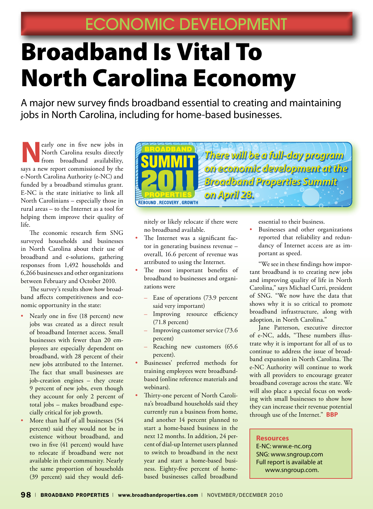## Broadband Is Vital To North Carolina Economy

A major new survey finds broadband essential to creating and maintaining jobs in North Carolina, including for home-based businesses.

early one in five new jobs in<br>North Carolina results directly<br>from broadband availability, North Carolina results directly from broadband availability, says a new report commissioned by the e-North Carolina Authority (e-NC) and funded by a broadband stimulus grant. E-NC is the state initiative to link all North Carolinians – especially those in rural areas – to the Internet as a tool for helping them improve their quality of life.

The economic research firm SNG surveyed households and businesses in North Carolina about their use of broadband and e-solutions, gathering responses from 1,492 households and 6,266 businesses and other organizations between February and October 2010.

The survey's results show how broadband affects competitiveness and economic opportunity in the state:

- Nearly one in five (18 percent) new jobs was created as a direct result of broadband Internet access. Small businesses with fewer than 20 employees are especially dependent on broadband, with 28 percent of their new jobs attributed to the Internet. The fact that small businesses are job-creation engines – they create 9 percent of new jobs, even though they account for only 2 percent of total jobs – makes broadband especially critical for job growth.
- More than half of all businesses (54 percent) said they would not be in existence without broadband, and two in five (41 percent) would have to relocate if broadband were not available in their community. Nearly the same proportion of households (39 percent) said they would defi-



nitely or likely relocate if there were no broadband available.

- The Internet was a significant factor in generating business revenue – overall, 16.6 percent of revenue was attributed to using the Internet.
- The most important benefits of broadband to businesses and organizations were
	- Ease of operations (73.9 percent said very important)
	- Improving resource efficiency (71.8 percent)
	- Improving customer service (73.6) percent)
	- Reaching new customers (65.6) percent).
- Businesses' preferred methods for training employees were broadbandbased (online reference materials and webinars).
- Thirty-one percent of North Carolina's broadband households said they currently run a business from home, and another 14 percent planned to start a home-based business in the next 12 months. In addition, 24 percent of dial-up Internet users planned to switch to broadband in the next year and start a home-based business. Eighty-five percent of homebased businesses called broadband

essential to their business.

Businesses and other organizations reported that reliability and redundancy of Internet access are as important as speed.

"We see in these findings how important broadband is to creating new jobs and improving quality of life in North Carolina," says Michael Curri, president of SNG. "We now have the data that shows why it is so critical to promote broadband infrastructure, along with adoption, in North Carolina."

Jane Patterson, executive director of e-NC, adds, "These numbers illustrate why it is important for all of us to continue to address the issue of broadband expansion in North Carolina. The e-NC Authority will continue to work with all providers to encourage greater broadband coverage across the state. We will also place a special focus on working with small businesses to show how they can increase their revenue potential through use of the Internet." **BBP**

## **Resources**

E-NC: www.e-nc.org SNG: www.sngroup.com Full report is available at www.sngroup.com.